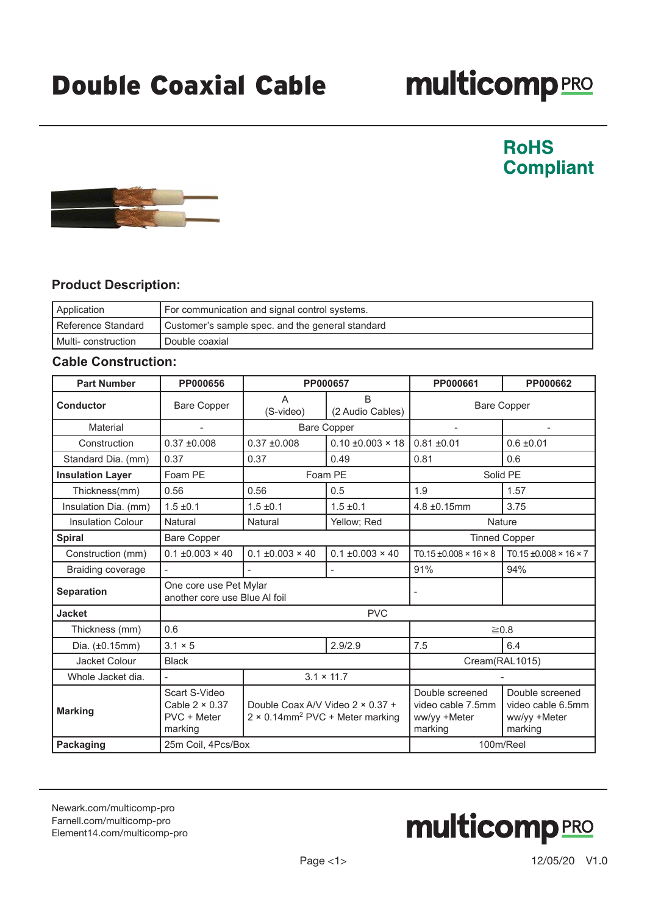# **multicomp**PRO

### **RoHS Compliant**



### **Product Description:**

| Application           | For communication and signal control systems.    |
|-----------------------|--------------------------------------------------|
| I Reference Standard  | Customer's sample spec. and the general standard |
| I Multi- construction | Double coaxial                                   |

#### **Cable Construction:**

| <b>Part Number</b>       | PP000656                                                         | PP000657                                                                                |                                  | PP000661                                                        | PP000662                                                        |
|--------------------------|------------------------------------------------------------------|-----------------------------------------------------------------------------------------|----------------------------------|-----------------------------------------------------------------|-----------------------------------------------------------------|
| <b>Conductor</b>         | <b>Bare Copper</b>                                               | A<br>(S-video)                                                                          | <sub>B</sub><br>(2 Audio Cables) |                                                                 | <b>Bare Copper</b>                                              |
| Material                 |                                                                  | <b>Bare Copper</b>                                                                      |                                  | $\overline{\phantom{a}}$                                        |                                                                 |
| Construction             | $0.37 \pm 0.008$                                                 | $0.37 \pm 0.008$                                                                        | $0.10 \pm 0.003 \times 18$       | $0.81 \pm 0.01$                                                 | $0.6 \pm 0.01$                                                  |
| Standard Dia. (mm)       | 0.37                                                             | 0.37                                                                                    | 0.49                             | 0.81                                                            | 0.6                                                             |
| <b>Insulation Layer</b>  | Foam PE                                                          | Foam PE                                                                                 |                                  | Solid PE                                                        |                                                                 |
| Thickness(mm)            | 0.56                                                             | 0.56                                                                                    | 0.5                              | 1.9                                                             | 1.57                                                            |
| Insulation Dia. (mm)     | $1.5 \pm 0.1$                                                    | $1.5 \pm 0.1$                                                                           | $1.5 \pm 0.1$                    | $4.8 \pm 0.15$ mm                                               | 3.75                                                            |
| <b>Insulation Colour</b> | Natural                                                          | Natural                                                                                 | Yellow; Red                      | Nature                                                          |                                                                 |
| <b>Spiral</b>            | <b>Bare Copper</b>                                               |                                                                                         |                                  | <b>Tinned Copper</b>                                            |                                                                 |
| Construction (mm)        | $0.1 \pm 0.003 \times 40$                                        | $0.1 \pm 0.003 \times 40$                                                               | $0.1 \pm 0.003 \times 40$        | $T0.15 \pm 0.008 \times 16 \times 8$                            | $T0.15 \pm 0.008 \times 16 \times 7$                            |
| Braiding coverage        |                                                                  |                                                                                         |                                  | 91%                                                             | 94%                                                             |
| <b>Separation</b>        | One core use Pet Mylar<br>another core use Blue AI foil          |                                                                                         |                                  |                                                                 |                                                                 |
| <b>Jacket</b>            | <b>PVC</b>                                                       |                                                                                         |                                  |                                                                 |                                                                 |
| Thickness (mm)           | 0.6                                                              |                                                                                         |                                  | $\geq 0.8$                                                      |                                                                 |
| Dia. (±0.15mm)           | $3.1 \times 5$                                                   | 2.9/2.9                                                                                 |                                  | 7.5                                                             | 6.4                                                             |
| Jacket Colour            | <b>Black</b>                                                     |                                                                                         |                                  | Cream(RAL1015)                                                  |                                                                 |
| Whole Jacket dia.        |                                                                  | $3.1 \times 11.7$                                                                       |                                  |                                                                 |                                                                 |
| <b>Marking</b>           | Scart S-Video<br>Cable $2 \times 0.37$<br>PVC + Meter<br>marking | Double Coax A/V Video 2 × 0.37 +<br>$2 \times 0.14$ mm <sup>2</sup> PVC + Meter marking |                                  | Double screened<br>video cable 7.5mm<br>ww/yy +Meter<br>marking | Double screened<br>video cable 6.5mm<br>ww/yy +Meter<br>marking |
| Packaging                | 25m Coil, 4Pcs/Box                                               |                                                                                         |                                  | 100m/Reel                                                       |                                                                 |

[Newark.com/multicomp-](https://www.newark.com/multicomp-pro)pro [Farnell.com/multicomp](https://www.farnell.com/multicomp-pro)-pro [Element14.com/multicomp-pro](https://element14.com/multicomp-pro)

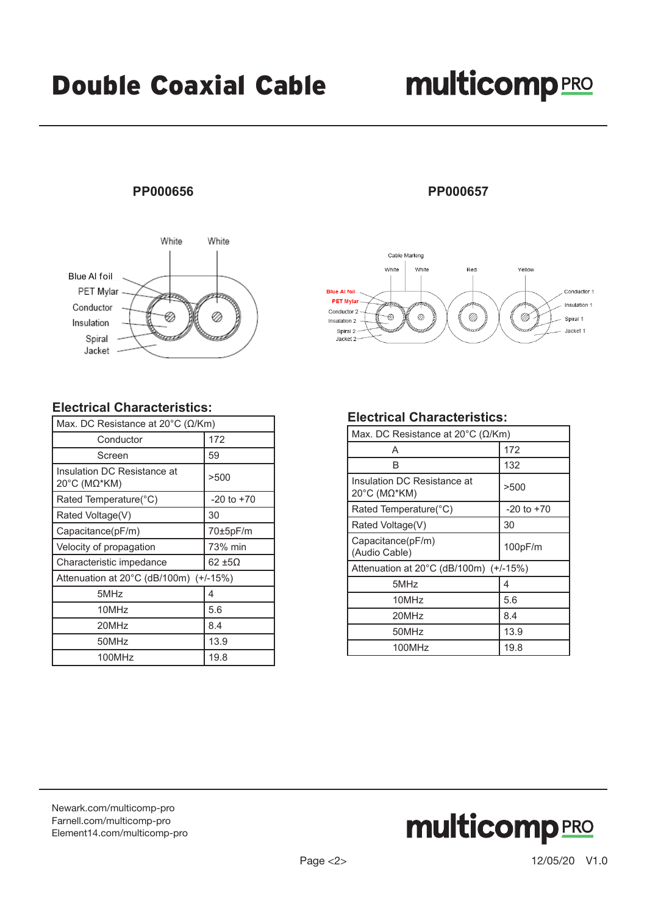## **multicomp**PRO

#### **PP000656**



#### **Electrical Characteristics:**

| Max. DC Resistance at 20 $^{\circ}$ C ( $\Omega$ /Km) |                |  |
|-------------------------------------------------------|----------------|--|
| Conductor                                             | 172            |  |
| Screen                                                | 59             |  |
| Insulation DC Resistance at<br>20°C (ΜΩ*ΚΜ)           | >500           |  |
| Rated Temperature(°C)                                 | $-20$ to $+70$ |  |
| Rated Voltage(V)                                      | 30             |  |
| Capacitance(pF/m)                                     | 70±5pF/m       |  |
| Velocity of propagation                               | 73% min        |  |
| Characteristic impedance                              | 62 ±5Ω         |  |
| Attenuation at $20^{\circ}$ C (dB/100m) (+/-15%)      |                |  |
| 5MHz                                                  | 4              |  |
| 10MHz                                                 | 5.6            |  |
| 20MHz                                                 | 8.4            |  |
| 50MHz                                                 | 13.9           |  |
| 100MHz                                                | 19.8           |  |

#### **PP000657**



#### **Electrical Characteristics:**

| Max. DC Resistance at 20 $\degree$ C ( $\Omega$ /Km) |                |  |
|------------------------------------------------------|----------------|--|
| A                                                    | 172            |  |
| B                                                    | 132            |  |
| Insulation DC Resistance at<br>20°C (ΜΩ*ΚΜ)          | >500           |  |
| Rated Temperature(°C)                                | $-20$ to $+70$ |  |
| Rated Voltage(V)                                     | 30             |  |
| Capacitance(pF/m)<br>(Audio Cable)                   | 100pF/m        |  |
| Attenuation at 20°C (dB/100m) (+/-15%)               |                |  |
| 5MHz                                                 | 4              |  |
| 10MHz                                                | 5.6            |  |
| 20MHz                                                | 8.4            |  |
| 50MHz                                                | 13.9           |  |
| 100MHz                                               | 19.8           |  |

[Newark.com/multicomp-](https://www.newark.com/multicomp-pro)pro [Farnell.com/multicomp](https://www.farnell.com/multicomp-pro)-pro [Element14.com/multicomp-pro](https://element14.com/multicomp-pro)